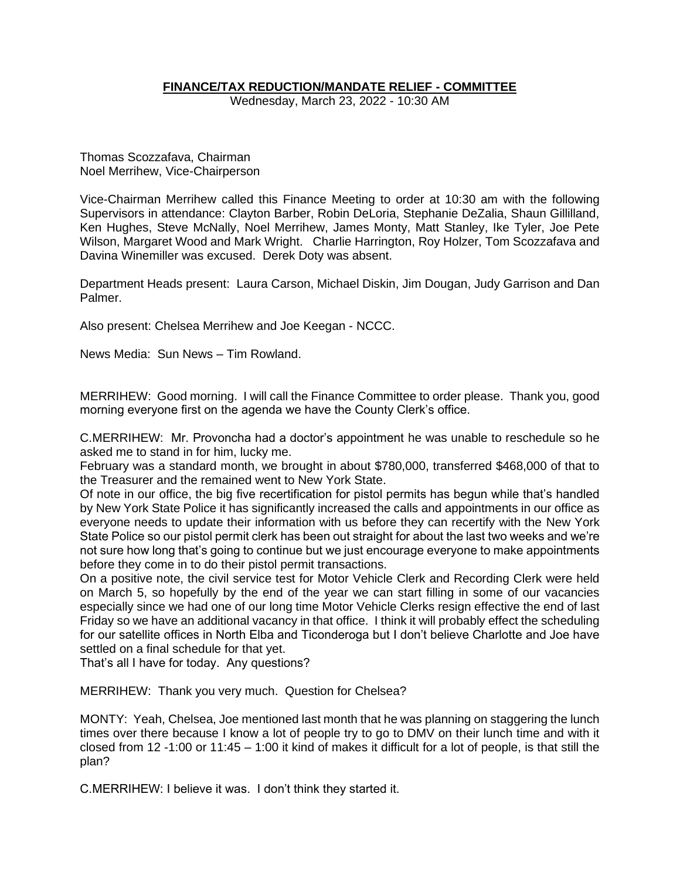# **FINANCE/TAX REDUCTION/MANDATE RELIEF - COMMITTEE**

Wednesday, March 23, 2022 - 10:30 AM

Thomas Scozzafava, Chairman Noel Merrihew, Vice-Chairperson

Vice-Chairman Merrihew called this Finance Meeting to order at 10:30 am with the following Supervisors in attendance: Clayton Barber, Robin DeLoria, Stephanie DeZalia, Shaun Gillilland, Ken Hughes, Steve McNally, Noel Merrihew, James Monty, Matt Stanley, Ike Tyler, Joe Pete Wilson, Margaret Wood and Mark Wright. Charlie Harrington, Roy Holzer, Tom Scozzafava and Davina Winemiller was excused. Derek Doty was absent.

Department Heads present: Laura Carson, Michael Diskin, Jim Dougan, Judy Garrison and Dan Palmer.

Also present: Chelsea Merrihew and Joe Keegan - NCCC.

News Media: Sun News – Tim Rowland.

MERRIHEW: Good morning. I will call the Finance Committee to order please. Thank you, good morning everyone first on the agenda we have the County Clerk's office.

C.MERRIHEW: Mr. Provoncha had a doctor's appointment he was unable to reschedule so he asked me to stand in for him, lucky me.

February was a standard month, we brought in about \$780,000, transferred \$468,000 of that to the Treasurer and the remained went to New York State.

Of note in our office, the big five recertification for pistol permits has begun while that's handled by New York State Police it has significantly increased the calls and appointments in our office as everyone needs to update their information with us before they can recertify with the New York State Police so our pistol permit clerk has been out straight for about the last two weeks and we're not sure how long that's going to continue but we just encourage everyone to make appointments before they come in to do their pistol permit transactions.

On a positive note, the civil service test for Motor Vehicle Clerk and Recording Clerk were held on March 5, so hopefully by the end of the year we can start filling in some of our vacancies especially since we had one of our long time Motor Vehicle Clerks resign effective the end of last Friday so we have an additional vacancy in that office. I think it will probably effect the scheduling for our satellite offices in North Elba and Ticonderoga but I don't believe Charlotte and Joe have settled on a final schedule for that yet.

That's all I have for today. Any questions?

MERRIHEW: Thank you very much. Question for Chelsea?

MONTY: Yeah, Chelsea, Joe mentioned last month that he was planning on staggering the lunch times over there because I know a lot of people try to go to DMV on their lunch time and with it closed from 12 -1:00 or 11:45 – 1:00 it kind of makes it difficult for a lot of people, is that still the plan?

C.MERRIHEW: I believe it was. I don't think they started it.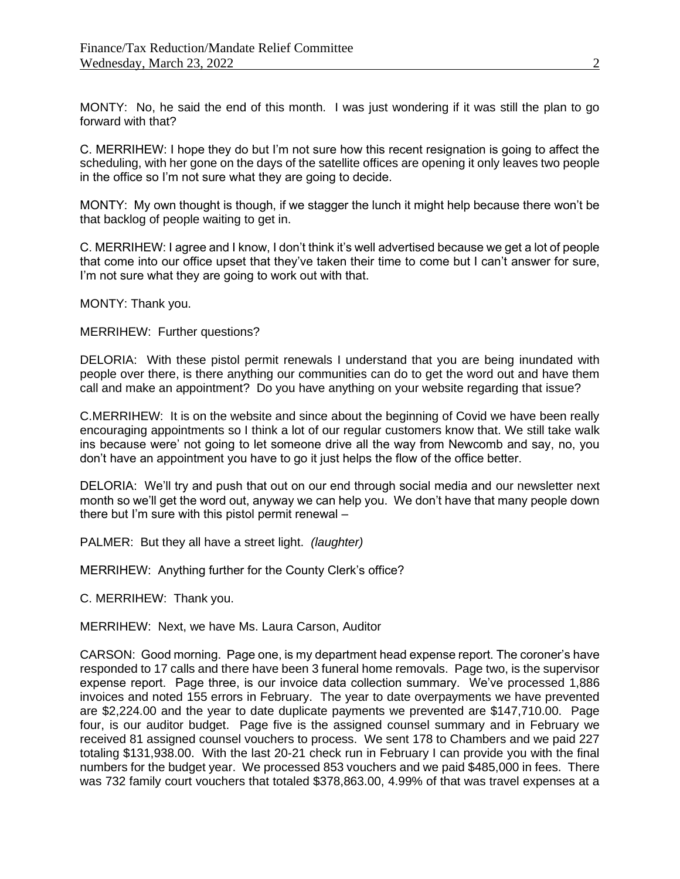MONTY: No, he said the end of this month. I was just wondering if it was still the plan to go forward with that?

C. MERRIHEW: I hope they do but I'm not sure how this recent resignation is going to affect the scheduling, with her gone on the days of the satellite offices are opening it only leaves two people in the office so I'm not sure what they are going to decide.

MONTY: My own thought is though, if we stagger the lunch it might help because there won't be that backlog of people waiting to get in.

C. MERRIHEW: I agree and I know, I don't think it's well advertised because we get a lot of people that come into our office upset that they've taken their time to come but I can't answer for sure, I'm not sure what they are going to work out with that.

MONTY: Thank you.

MERRIHEW: Further questions?

DELORIA: With these pistol permit renewals I understand that you are being inundated with people over there, is there anything our communities can do to get the word out and have them call and make an appointment? Do you have anything on your website regarding that issue?

C.MERRIHEW: It is on the website and since about the beginning of Covid we have been really encouraging appointments so I think a lot of our regular customers know that. We still take walk ins because were' not going to let someone drive all the way from Newcomb and say, no, you don't have an appointment you have to go it just helps the flow of the office better.

DELORIA: We'll try and push that out on our end through social media and our newsletter next month so we'll get the word out, anyway we can help you. We don't have that many people down there but I'm sure with this pistol permit renewal –

PALMER: But they all have a street light. *(laughter)*

MERRIHEW: Anything further for the County Clerk's office?

C. MERRIHEW: Thank you.

MERRIHEW: Next, we have Ms. Laura Carson, Auditor

CARSON: Good morning. Page one, is my department head expense report. The coroner's have responded to 17 calls and there have been 3 funeral home removals. Page two, is the supervisor expense report. Page three, is our invoice data collection summary. We've processed 1,886 invoices and noted 155 errors in February. The year to date overpayments we have prevented are \$2,224.00 and the year to date duplicate payments we prevented are \$147,710.00. Page four, is our auditor budget. Page five is the assigned counsel summary and in February we received 81 assigned counsel vouchers to process. We sent 178 to Chambers and we paid 227 totaling \$131,938.00. With the last 20-21 check run in February I can provide you with the final numbers for the budget year. We processed 853 vouchers and we paid \$485,000 in fees. There was 732 family court vouchers that totaled \$378,863.00, 4.99% of that was travel expenses at a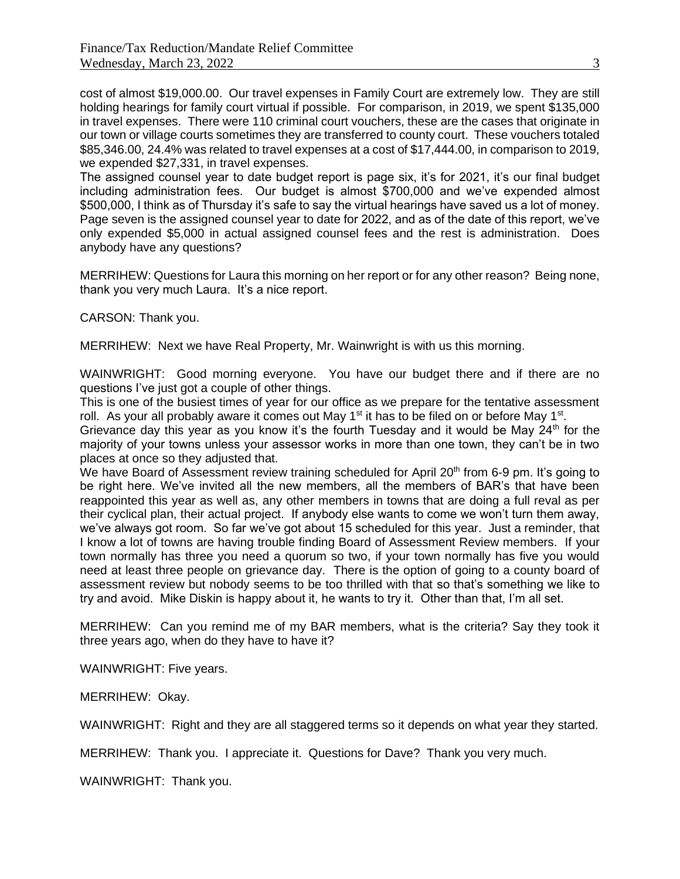cost of almost \$19,000.00. Our travel expenses in Family Court are extremely low. They are still holding hearings for family court virtual if possible. For comparison, in 2019, we spent \$135,000 in travel expenses. There were 110 criminal court vouchers, these are the cases that originate in our town or village courts sometimes they are transferred to county court. These vouchers totaled \$85,346.00, 24.4% was related to travel expenses at a cost of \$17,444.00, in comparison to 2019, we expended \$27,331, in travel expenses.

The assigned counsel year to date budget report is page six, it's for 2021, it's our final budget including administration fees. Our budget is almost \$700,000 and we've expended almost \$500,000, I think as of Thursday it's safe to say the virtual hearings have saved us a lot of money. Page seven is the assigned counsel year to date for 2022, and as of the date of this report, we've only expended \$5,000 in actual assigned counsel fees and the rest is administration. Does anybody have any questions?

MERRIHEW: Questions for Laura this morning on her report or for any other reason? Being none, thank you very much Laura. It's a nice report.

CARSON: Thank you.

MERRIHEW: Next we have Real Property, Mr. Wainwright is with us this morning.

WAINWRIGHT: Good morning everyone. You have our budget there and if there are no questions I've just got a couple of other things.

This is one of the busiest times of year for our office as we prepare for the tentative assessment roll. As your all probably aware it comes out May  $1<sup>st</sup>$  it has to be filed on or before May  $1<sup>st</sup>$ .

Grievance day this year as you know it's the fourth Tuesday and it would be May  $24<sup>th</sup>$  for the majority of your towns unless your assessor works in more than one town, they can't be in two places at once so they adjusted that.

We have Board of Assessment review training scheduled for April 20<sup>th</sup> from 6-9 pm. It's going to be right here. We've invited all the new members, all the members of BAR's that have been reappointed this year as well as, any other members in towns that are doing a full reval as per their cyclical plan, their actual project. If anybody else wants to come we won't turn them away, we've always got room. So far we've got about 15 scheduled for this year. Just a reminder, that I know a lot of towns are having trouble finding Board of Assessment Review members. If your town normally has three you need a quorum so two, if your town normally has five you would need at least three people on grievance day. There is the option of going to a county board of assessment review but nobody seems to be too thrilled with that so that's something we like to try and avoid. Mike Diskin is happy about it, he wants to try it. Other than that, I'm all set.

MERRIHEW: Can you remind me of my BAR members, what is the criteria? Say they took it three years ago, when do they have to have it?

WAINWRIGHT: Five years.

MERRIHEW: Okay.

WAINWRIGHT: Right and they are all staggered terms so it depends on what year they started.

MERRIHEW: Thank you. I appreciate it. Questions for Dave? Thank you very much.

WAINWRIGHT: Thank you.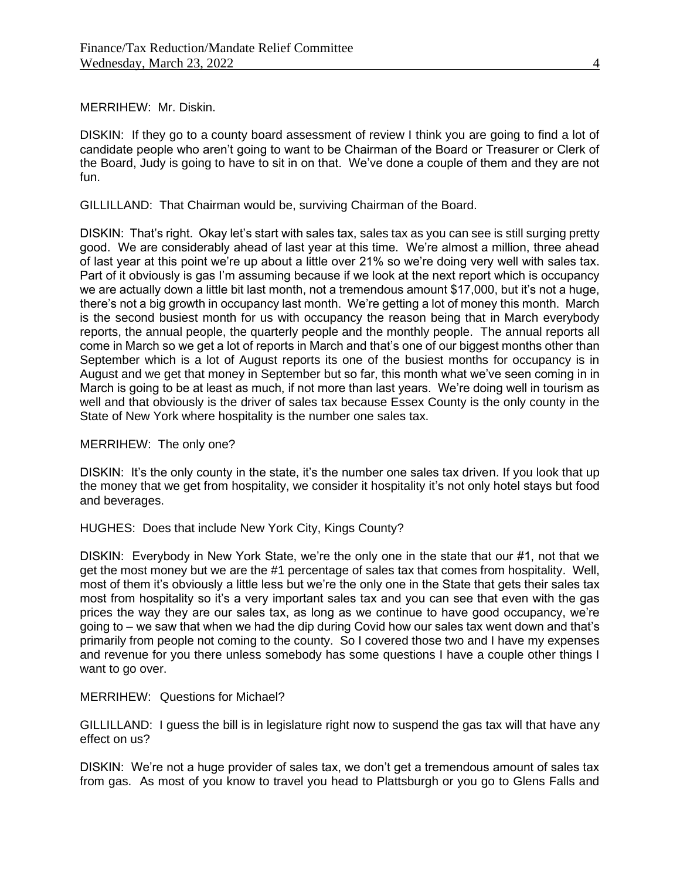MERRIHEW: Mr. Diskin.

DISKIN: If they go to a county board assessment of review I think you are going to find a lot of candidate people who aren't going to want to be Chairman of the Board or Treasurer or Clerk of the Board, Judy is going to have to sit in on that. We've done a couple of them and they are not fun.

GILLILLAND: That Chairman would be, surviving Chairman of the Board.

DISKIN: That's right. Okay let's start with sales tax, sales tax as you can see is still surging pretty good. We are considerably ahead of last year at this time. We're almost a million, three ahead of last year at this point we're up about a little over 21% so we're doing very well with sales tax. Part of it obviously is gas I'm assuming because if we look at the next report which is occupancy we are actually down a little bit last month, not a tremendous amount \$17,000, but it's not a huge, there's not a big growth in occupancy last month. We're getting a lot of money this month. March is the second busiest month for us with occupancy the reason being that in March everybody reports, the annual people, the quarterly people and the monthly people. The annual reports all come in March so we get a lot of reports in March and that's one of our biggest months other than September which is a lot of August reports its one of the busiest months for occupancy is in August and we get that money in September but so far, this month what we've seen coming in in March is going to be at least as much, if not more than last years. We're doing well in tourism as well and that obviously is the driver of sales tax because Essex County is the only county in the State of New York where hospitality is the number one sales tax.

MERRIHEW: The only one?

DISKIN: It's the only county in the state, it's the number one sales tax driven. If you look that up the money that we get from hospitality, we consider it hospitality it's not only hotel stays but food and beverages.

HUGHES: Does that include New York City, Kings County?

DISKIN: Everybody in New York State, we're the only one in the state that our #1, not that we get the most money but we are the #1 percentage of sales tax that comes from hospitality. Well, most of them it's obviously a little less but we're the only one in the State that gets their sales tax most from hospitality so it's a very important sales tax and you can see that even with the gas prices the way they are our sales tax, as long as we continue to have good occupancy, we're going to – we saw that when we had the dip during Covid how our sales tax went down and that's primarily from people not coming to the county. So I covered those two and I have my expenses and revenue for you there unless somebody has some questions I have a couple other things I want to go over.

MERRIHEW: Questions for Michael?

GILLILLAND: I guess the bill is in legislature right now to suspend the gas tax will that have any effect on us?

DISKIN: We're not a huge provider of sales tax, we don't get a tremendous amount of sales tax from gas. As most of you know to travel you head to Plattsburgh or you go to Glens Falls and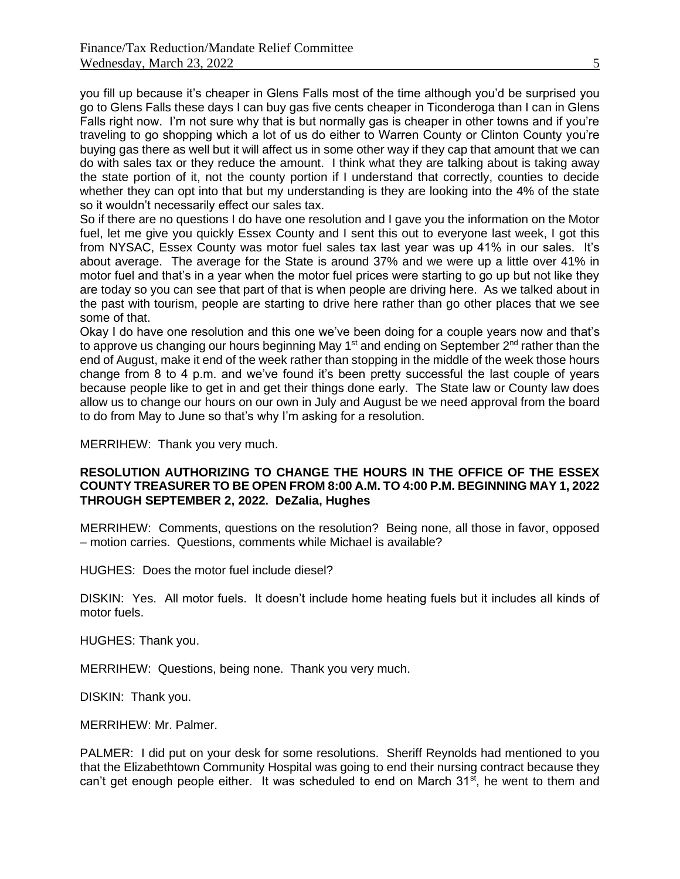you fill up because it's cheaper in Glens Falls most of the time although you'd be surprised you go to Glens Falls these days I can buy gas five cents cheaper in Ticonderoga than I can in Glens Falls right now. I'm not sure why that is but normally gas is cheaper in other towns and if you're traveling to go shopping which a lot of us do either to Warren County or Clinton County you're buying gas there as well but it will affect us in some other way if they cap that amount that we can do with sales tax or they reduce the amount. I think what they are talking about is taking away the state portion of it, not the county portion if I understand that correctly, counties to decide whether they can opt into that but my understanding is they are looking into the 4% of the state so it wouldn't necessarily effect our sales tax.

So if there are no questions I do have one resolution and I gave you the information on the Motor fuel, let me give you quickly Essex County and I sent this out to everyone last week, I got this from NYSAC, Essex County was motor fuel sales tax last year was up 41% in our sales. It's about average. The average for the State is around 37% and we were up a little over 41% in motor fuel and that's in a year when the motor fuel prices were starting to go up but not like they are today so you can see that part of that is when people are driving here. As we talked about in the past with tourism, people are starting to drive here rather than go other places that we see some of that.

Okay I do have one resolution and this one we've been doing for a couple years now and that's to approve us changing our hours beginning May 1<sup>st</sup> and ending on September 2<sup>nd</sup> rather than the end of August, make it end of the week rather than stopping in the middle of the week those hours change from 8 to 4 p.m. and we've found it's been pretty successful the last couple of years because people like to get in and get their things done early. The State law or County law does allow us to change our hours on our own in July and August be we need approval from the board to do from May to June so that's why I'm asking for a resolution.

MERRIHEW: Thank you very much.

## **RESOLUTION AUTHORIZING TO CHANGE THE HOURS IN THE OFFICE OF THE ESSEX COUNTY TREASURER TO BE OPEN FROM 8:00 A.M. TO 4:00 P.M. BEGINNING MAY 1, 2022 THROUGH SEPTEMBER 2, 2022. DeZalia, Hughes**

MERRIHEW: Comments, questions on the resolution? Being none, all those in favor, opposed – motion carries. Questions, comments while Michael is available?

HUGHES: Does the motor fuel include diesel?

DISKIN: Yes. All motor fuels. It doesn't include home heating fuels but it includes all kinds of motor fuels.

HUGHES: Thank you.

MERRIHEW: Questions, being none. Thank you very much.

DISKIN: Thank you.

MERRIHEW: Mr. Palmer.

PALMER: I did put on your desk for some resolutions. Sheriff Reynolds had mentioned to you that the Elizabethtown Community Hospital was going to end their nursing contract because they can't get enough people either. It was scheduled to end on March 31<sup>st</sup>, he went to them and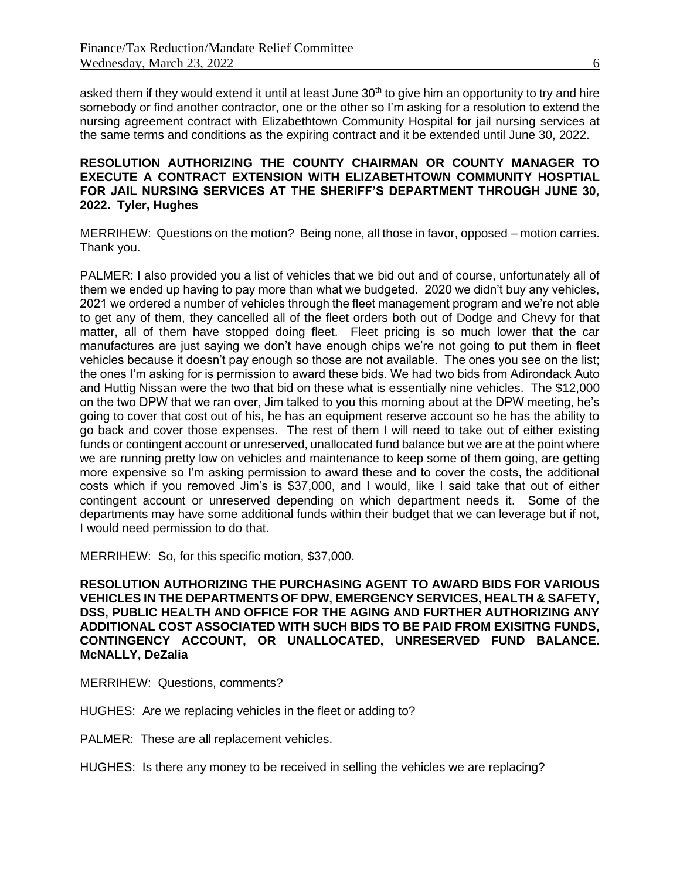asked them if they would extend it until at least June 30<sup>th</sup> to give him an opportunity to try and hire somebody or find another contractor, one or the other so I'm asking for a resolution to extend the nursing agreement contract with Elizabethtown Community Hospital for jail nursing services at the same terms and conditions as the expiring contract and it be extended until June 30, 2022.

## **RESOLUTION AUTHORIZING THE COUNTY CHAIRMAN OR COUNTY MANAGER TO EXECUTE A CONTRACT EXTENSION WITH ELIZABETHTOWN COMMUNITY HOSPTIAL FOR JAIL NURSING SERVICES AT THE SHERIFF'S DEPARTMENT THROUGH JUNE 30, 2022. Tyler, Hughes**

MERRIHEW: Questions on the motion? Being none, all those in favor, opposed – motion carries. Thank you.

PALMER: I also provided you a list of vehicles that we bid out and of course, unfortunately all of them we ended up having to pay more than what we budgeted. 2020 we didn't buy any vehicles, 2021 we ordered a number of vehicles through the fleet management program and we're not able to get any of them, they cancelled all of the fleet orders both out of Dodge and Chevy for that matter, all of them have stopped doing fleet. Fleet pricing is so much lower that the car manufactures are just saying we don't have enough chips we're not going to put them in fleet vehicles because it doesn't pay enough so those are not available. The ones you see on the list; the ones I'm asking for is permission to award these bids. We had two bids from Adirondack Auto and Huttig Nissan were the two that bid on these what is essentially nine vehicles. The \$12,000 on the two DPW that we ran over, Jim talked to you this morning about at the DPW meeting, he's going to cover that cost out of his, he has an equipment reserve account so he has the ability to go back and cover those expenses. The rest of them I will need to take out of either existing funds or contingent account or unreserved, unallocated fund balance but we are at the point where we are running pretty low on vehicles and maintenance to keep some of them going, are getting more expensive so I'm asking permission to award these and to cover the costs, the additional costs which if you removed Jim's is \$37,000, and I would, like I said take that out of either contingent account or unreserved depending on which department needs it. Some of the departments may have some additional funds within their budget that we can leverage but if not, I would need permission to do that.

MERRIHEW: So, for this specific motion, \$37,000.

**RESOLUTION AUTHORIZING THE PURCHASING AGENT TO AWARD BIDS FOR VARIOUS VEHICLES IN THE DEPARTMENTS OF DPW, EMERGENCY SERVICES, HEALTH & SAFETY, DSS, PUBLIC HEALTH AND OFFICE FOR THE AGING AND FURTHER AUTHORIZING ANY ADDITIONAL COST ASSOCIATED WITH SUCH BIDS TO BE PAID FROM EXISITNG FUNDS, CONTINGENCY ACCOUNT, OR UNALLOCATED, UNRESERVED FUND BALANCE. McNALLY, DeZalia**

MERRIHEW: Questions, comments?

HUGHES: Are we replacing vehicles in the fleet or adding to?

PALMER: These are all replacement vehicles.

HUGHES: Is there any money to be received in selling the vehicles we are replacing?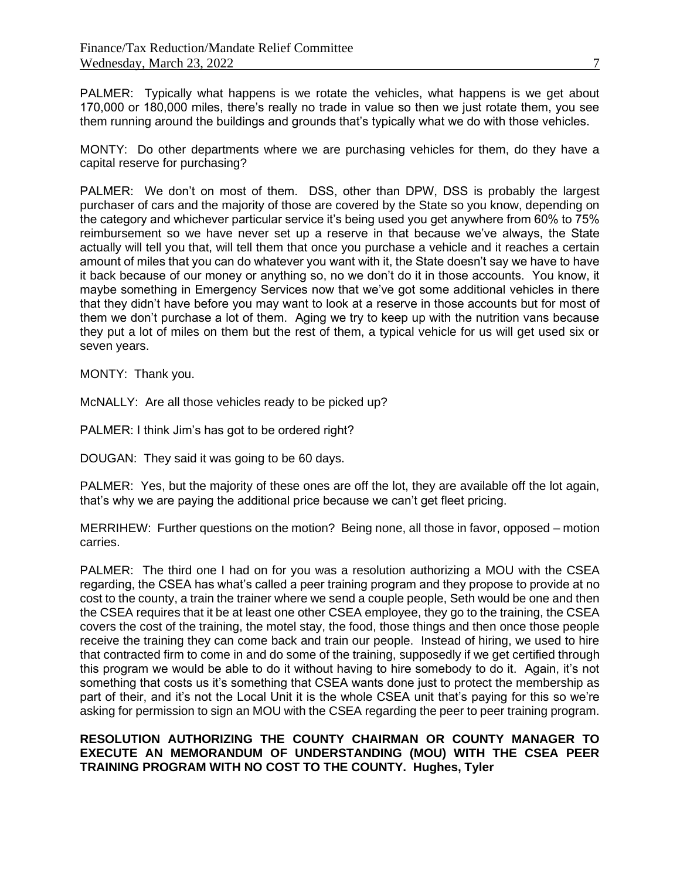PALMER: Typically what happens is we rotate the vehicles, what happens is we get about 170,000 or 180,000 miles, there's really no trade in value so then we just rotate them, you see them running around the buildings and grounds that's typically what we do with those vehicles.

MONTY: Do other departments where we are purchasing vehicles for them, do they have a capital reserve for purchasing?

PALMER: We don't on most of them. DSS, other than DPW, DSS is probably the largest purchaser of cars and the majority of those are covered by the State so you know, depending on the category and whichever particular service it's being used you get anywhere from 60% to 75% reimbursement so we have never set up a reserve in that because we've always, the State actually will tell you that, will tell them that once you purchase a vehicle and it reaches a certain amount of miles that you can do whatever you want with it, the State doesn't say we have to have it back because of our money or anything so, no we don't do it in those accounts. You know, it maybe something in Emergency Services now that we've got some additional vehicles in there that they didn't have before you may want to look at a reserve in those accounts but for most of them we don't purchase a lot of them. Aging we try to keep up with the nutrition vans because they put a lot of miles on them but the rest of them, a typical vehicle for us will get used six or seven years.

MONTY: Thank you.

McNALLY: Are all those vehicles ready to be picked up?

PALMER: I think Jim's has got to be ordered right?

DOUGAN: They said it was going to be 60 days.

PALMER: Yes, but the majority of these ones are off the lot, they are available off the lot again, that's why we are paying the additional price because we can't get fleet pricing.

MERRIHEW: Further questions on the motion? Being none, all those in favor, opposed – motion carries.

PALMER: The third one I had on for you was a resolution authorizing a MOU with the CSEA regarding, the CSEA has what's called a peer training program and they propose to provide at no cost to the county, a train the trainer where we send a couple people, Seth would be one and then the CSEA requires that it be at least one other CSEA employee, they go to the training, the CSEA covers the cost of the training, the motel stay, the food, those things and then once those people receive the training they can come back and train our people. Instead of hiring, we used to hire that contracted firm to come in and do some of the training, supposedly if we get certified through this program we would be able to do it without having to hire somebody to do it. Again, it's not something that costs us it's something that CSEA wants done just to protect the membership as part of their, and it's not the Local Unit it is the whole CSEA unit that's paying for this so we're asking for permission to sign an MOU with the CSEA regarding the peer to peer training program.

## **RESOLUTION AUTHORIZING THE COUNTY CHAIRMAN OR COUNTY MANAGER TO EXECUTE AN MEMORANDUM OF UNDERSTANDING (MOU) WITH THE CSEA PEER TRAINING PROGRAM WITH NO COST TO THE COUNTY. Hughes, Tyler**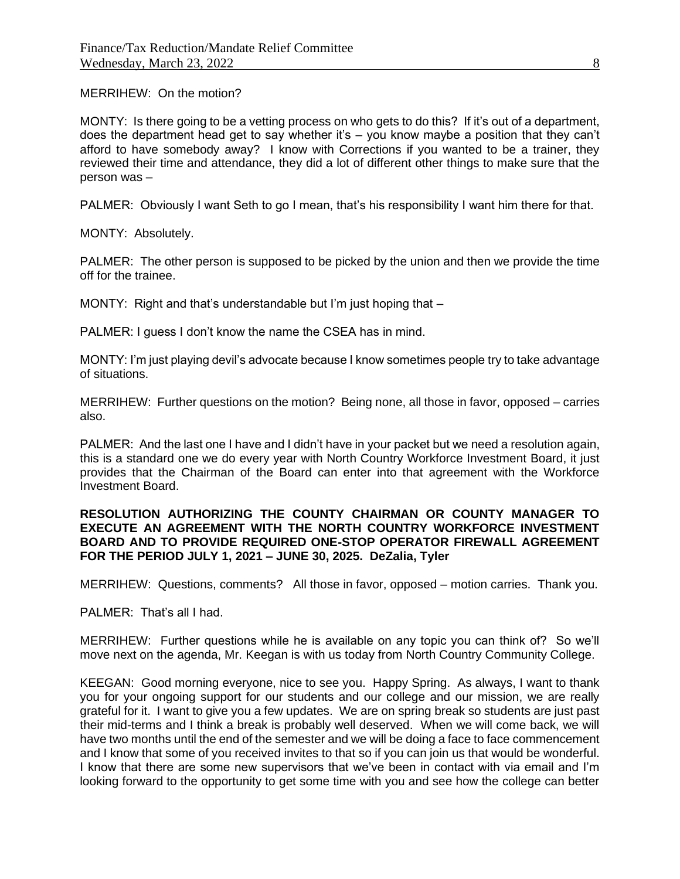MERRIHEW: On the motion?

MONTY: Is there going to be a vetting process on who gets to do this? If it's out of a department, does the department head get to say whether it's – you know maybe a position that they can't afford to have somebody away? I know with Corrections if you wanted to be a trainer, they reviewed their time and attendance, they did a lot of different other things to make sure that the person was –

PALMER: Obviously I want Seth to go I mean, that's his responsibility I want him there for that.

MONTY: Absolutely.

PALMER: The other person is supposed to be picked by the union and then we provide the time off for the trainee.

MONTY: Right and that's understandable but I'm just hoping that –

PALMER: I guess I don't know the name the CSEA has in mind.

MONTY: I'm just playing devil's advocate because I know sometimes people try to take advantage of situations.

MERRIHEW: Further questions on the motion? Being none, all those in favor, opposed – carries also.

PALMER: And the last one I have and I didn't have in your packet but we need a resolution again, this is a standard one we do every year with North Country Workforce Investment Board, it just provides that the Chairman of the Board can enter into that agreement with the Workforce Investment Board.

### **RESOLUTION AUTHORIZING THE COUNTY CHAIRMAN OR COUNTY MANAGER TO EXECUTE AN AGREEMENT WITH THE NORTH COUNTRY WORKFORCE INVESTMENT BOARD AND TO PROVIDE REQUIRED ONE-STOP OPERATOR FIREWALL AGREEMENT FOR THE PERIOD JULY 1, 2021 – JUNE 30, 2025. DeZalia, Tyler**

MERRIHEW: Questions, comments? All those in favor, opposed – motion carries. Thank you.

PALMER: That's all I had.

MERRIHEW: Further questions while he is available on any topic you can think of? So we'll move next on the agenda, Mr. Keegan is with us today from North Country Community College.

KEEGAN: Good morning everyone, nice to see you. Happy Spring. As always, I want to thank you for your ongoing support for our students and our college and our mission, we are really grateful for it. I want to give you a few updates. We are on spring break so students are just past their mid-terms and I think a break is probably well deserved. When we will come back, we will have two months until the end of the semester and we will be doing a face to face commencement and I know that some of you received invites to that so if you can join us that would be wonderful. I know that there are some new supervisors that we've been in contact with via email and I'm looking forward to the opportunity to get some time with you and see how the college can better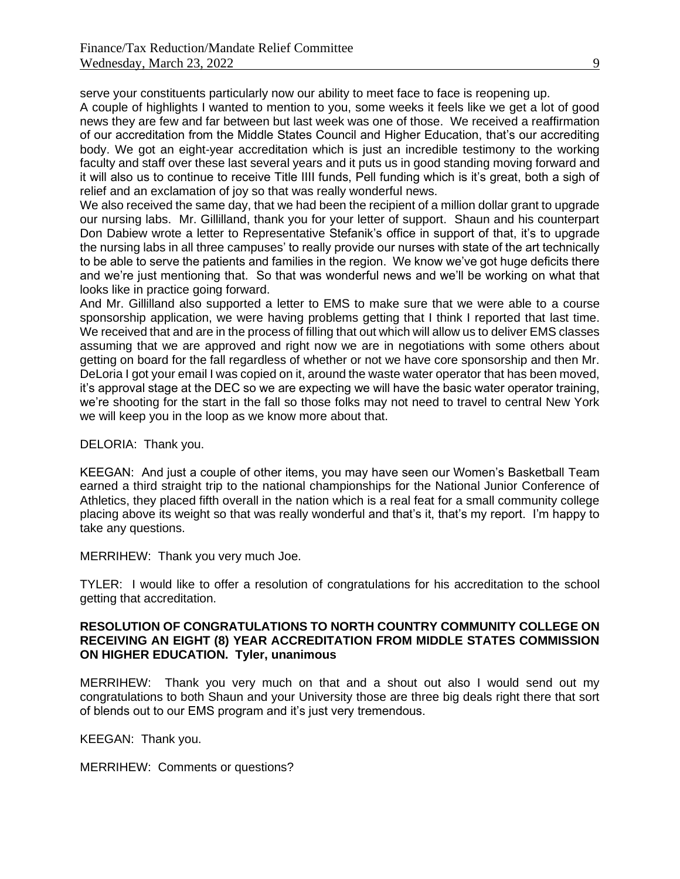serve your constituents particularly now our ability to meet face to face is reopening up.

A couple of highlights I wanted to mention to you, some weeks it feels like we get a lot of good news they are few and far between but last week was one of those. We received a reaffirmation of our accreditation from the Middle States Council and Higher Education, that's our accrediting body. We got an eight-year accreditation which is just an incredible testimony to the working faculty and staff over these last several years and it puts us in good standing moving forward and it will also us to continue to receive Title IIII funds, Pell funding which is it's great, both a sigh of relief and an exclamation of joy so that was really wonderful news.

We also received the same day, that we had been the recipient of a million dollar grant to upgrade our nursing labs. Mr. Gillilland, thank you for your letter of support. Shaun and his counterpart Don Dabiew wrote a letter to Representative Stefanik's office in support of that, it's to upgrade the nursing labs in all three campuses' to really provide our nurses with state of the art technically to be able to serve the patients and families in the region. We know we've got huge deficits there and we're just mentioning that. So that was wonderful news and we'll be working on what that looks like in practice going forward.

And Mr. Gillilland also supported a letter to EMS to make sure that we were able to a course sponsorship application, we were having problems getting that I think I reported that last time. We received that and are in the process of filling that out which will allow us to deliver EMS classes assuming that we are approved and right now we are in negotiations with some others about getting on board for the fall regardless of whether or not we have core sponsorship and then Mr. DeLoria I got your email I was copied on it, around the waste water operator that has been moved, it's approval stage at the DEC so we are expecting we will have the basic water operator training, we're shooting for the start in the fall so those folks may not need to travel to central New York we will keep you in the loop as we know more about that.

DELORIA: Thank you.

KEEGAN: And just a couple of other items, you may have seen our Women's Basketball Team earned a third straight trip to the national championships for the National Junior Conference of Athletics, they placed fifth overall in the nation which is a real feat for a small community college placing above its weight so that was really wonderful and that's it, that's my report. I'm happy to take any questions.

MERRIHEW: Thank you very much Joe.

TYLER: I would like to offer a resolution of congratulations for his accreditation to the school getting that accreditation.

## **RESOLUTION OF CONGRATULATIONS TO NORTH COUNTRY COMMUNITY COLLEGE ON RECEIVING AN EIGHT (8) YEAR ACCREDITATION FROM MIDDLE STATES COMMISSION ON HIGHER EDUCATION. Tyler, unanimous**

MERRIHEW: Thank you very much on that and a shout out also I would send out my congratulations to both Shaun and your University those are three big deals right there that sort of blends out to our EMS program and it's just very tremendous.

KEEGAN: Thank you.

MERRIHEW: Comments or questions?